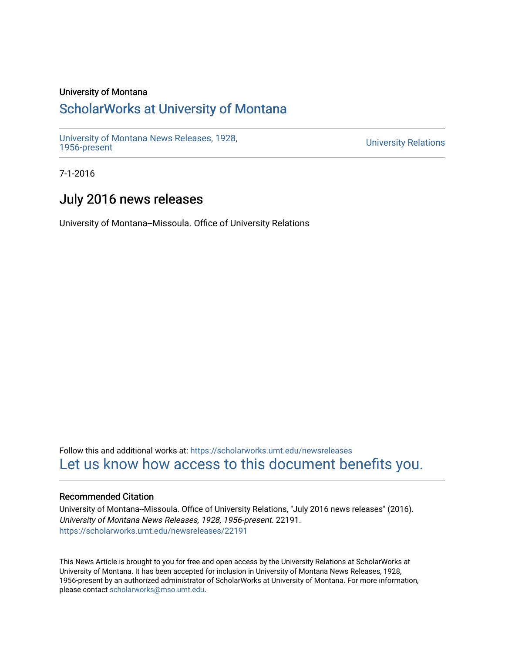#### University of Montana

### [ScholarWorks at University of Montana](https://scholarworks.umt.edu/)

[University of Montana News Releases, 1928,](https://scholarworks.umt.edu/newsreleases) 

**University Relations** 

7-1-2016

## July 2016 news releases

University of Montana--Missoula. Office of University Relations

Follow this and additional works at: [https://scholarworks.umt.edu/newsreleases](https://scholarworks.umt.edu/newsreleases?utm_source=scholarworks.umt.edu%2Fnewsreleases%2F22191&utm_medium=PDF&utm_campaign=PDFCoverPages) [Let us know how access to this document benefits you.](https://goo.gl/forms/s2rGfXOLzz71qgsB2) 

#### Recommended Citation

University of Montana--Missoula. Office of University Relations, "July 2016 news releases" (2016). University of Montana News Releases, 1928, 1956-present. 22191. [https://scholarworks.umt.edu/newsreleases/22191](https://scholarworks.umt.edu/newsreleases/22191?utm_source=scholarworks.umt.edu%2Fnewsreleases%2F22191&utm_medium=PDF&utm_campaign=PDFCoverPages) 

This News Article is brought to you for free and open access by the University Relations at ScholarWorks at University of Montana. It has been accepted for inclusion in University of Montana News Releases, 1928, 1956-present by an authorized administrator of ScholarWorks at University of Montana. For more information, please contact [scholarworks@mso.umt.edu.](mailto:scholarworks@mso.umt.edu)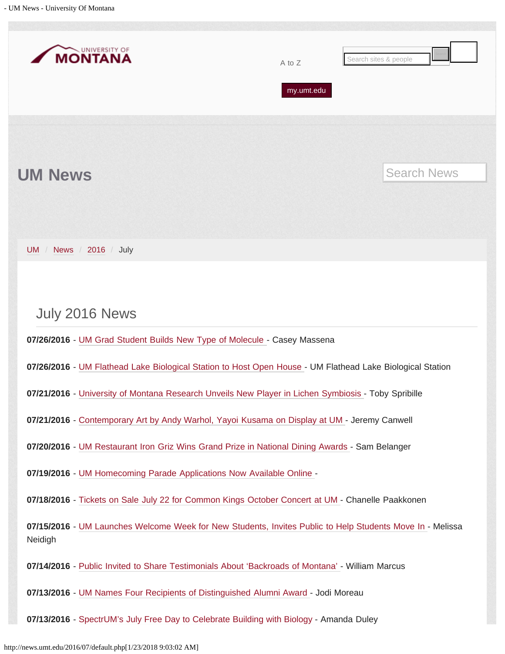<span id="page-1-0"></span>

| UNIVERSITY OF<br><b>MONTANA</b><br>Search sites & people<br>A to Z<br>my.umt.edu                                                                                                                                         |  |                    |  |  |  |  |  |
|--------------------------------------------------------------------------------------------------------------------------------------------------------------------------------------------------------------------------|--|--------------------|--|--|--|--|--|
|                                                                                                                                                                                                                          |  | <b>Search News</b> |  |  |  |  |  |
| <b>UM News</b>                                                                                                                                                                                                           |  |                    |  |  |  |  |  |
| News / 2016 /<br>July<br><b>UM</b><br>$\sqrt{2}$                                                                                                                                                                         |  |                    |  |  |  |  |  |
| July 2016 News                                                                                                                                                                                                           |  |                    |  |  |  |  |  |
| 07/26/2016 - UM Grad Student Builds New Type of Molecule - Casey Massena<br>07/26/2016 - UM Flathead Lake Biological Station to Host Open House - UM Flathead Lake Biological Station                                    |  |                    |  |  |  |  |  |
| 07/21/2016 - University of Montana Research Unveils New Player in Lichen Symbiosis - Toby Spribille<br>07/21/2016 - Contemporary Art by Andy Warhol, Yayoi Kusama on Display at UM - Jeremy Canwell                      |  |                    |  |  |  |  |  |
| 07/20/2016 - UM Restaurant Iron Griz Wins Grand Prize in National Dining Awards - Sam Belanger<br>07/19/2016 - UM Homecoming Parade Applications Now Available Online -                                                  |  |                    |  |  |  |  |  |
| 07/18/2016 - Tickets on Sale July 22 for Common Kings October Concert at UM - Chanelle Paakkonen<br>07/15/2016 - UM Launches Welcome Week for New Students, Invites Public to Help Students Move In - Melissa<br>Neidigh |  |                    |  |  |  |  |  |
| 07/14/2016 - Public Invited to Share Testimonials About 'Backroads of Montana' - William Marcus<br>07/13/2016 - UM Names Four Recipients of Distinguished Alumni Award - Jodi Moreau                                     |  |                    |  |  |  |  |  |
| 07/13/2016 - SpectrUM's July Free Day to Celebrate Building with Biology - Amanda Duley                                                                                                                                  |  |                    |  |  |  |  |  |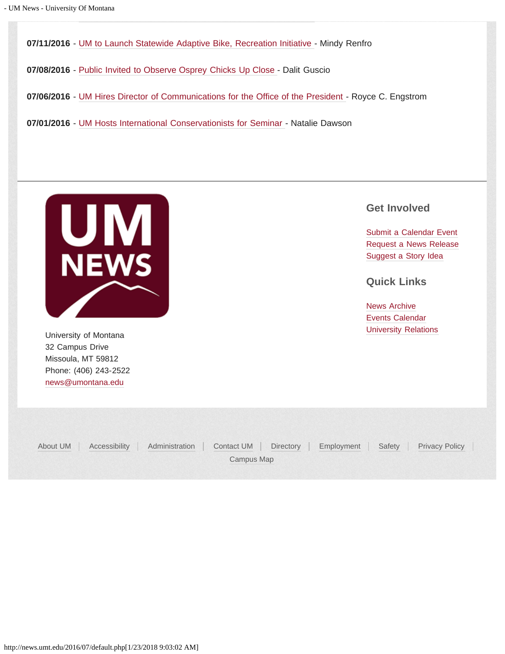**07/11/2016** - [UM to Launch Statewide Adaptive Bike, Recreation Initiative -](#page-34-0) Mindy Renfro

**07/08/2016** - [Public Invited to Observe Osprey Chicks Up Close -](#page-37-0) Dalit Guscio

**07/06/2016** - [UM Hires Director of Communications for the Office of the President -](#page-40-0) Royce C. Engstrom

**07/01/2016** - [UM Hosts International Conservationists for Seminar -](#page-42-0) Natalie Dawson



32 Campus Drive Missoula, MT 59812 Phone: (406) 243-2522 [news@umontana.edu](mailto:news@umontana.edu)

### **Get Involved**

[Submit a Calendar Event](http://umt.edu/urelations/info/submit_event.php) [Request a News Release](mailto:news@umontana.edu) [Suggest a Story Idea](mailto:thrive@umontana.edu)

**Quick Links**

[News Archive](http://www.umt.edu/urelations/pubs/NewsArchives.php) [Events Calendar](http://events.umt.edu/) University of Montana **Value 2018** [University Relations](http://www.umt.edu/urelations/) **University Relations** 

[About UM](http://www.umt.edu/about) | [Accessibility](http://www.umt.edu/accessibility/) | [Administration](http://www.umt.edu/administration) | [Contact UM](http://www.umt.edu/comments) | [Directory](http://www.umt.edu/directory) | [Employment](http://www.umt.edu/jobs) | [Safety](http://www.umt.edu/safety/) | [Privacy Policy](http://umt.edu/privacy/) | [Campus Map](http://map.umt.edu/)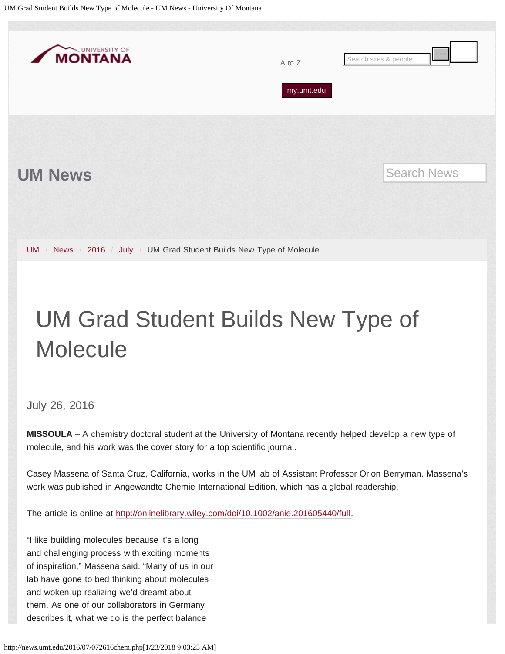<span id="page-3-0"></span>

## UM Grad Student Builds New Type of **Molecule**

### July 26, 2016

**MISSOULA** – A chemistry doctoral student at the University of Montana recently helped develop a new type of molecule, and his work was the cover story for a top scientific journal.

Casey Massena of Santa Cruz, California, works in the UM lab of Assistant Professor Orion Berryman. Massena's work was published in Angewandte Chemie International Edition, which has a global readership.

The article is online at [http://onlinelibrary.wiley.com/doi/10.1002/anie.201605440/full.](http://onlinelibrary.wiley.com/doi/10.1002/anie.201605440/full)

"I like building molecules because it's a long and challenging process with exciting moments of inspiration," Massena said. "Many of us in our lab have gone to bed thinking about molecules and woken up realizing we'd dreamt about them. As one of our collaborators in Germany describes it, what we do is the perfect balance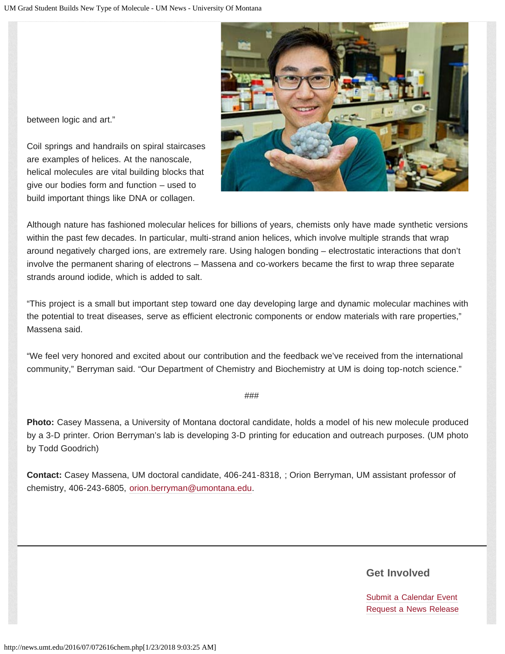

between logic and art."

Coil springs and handrails on spiral staircases are examples of helices. At the nanoscale, helical molecules are vital building blocks that give our bodies form and function – used to build important things like DNA or collagen.

Although nature has fashioned molecular helices for billions of years, chemists only have made synthetic versions within the past few decades. In particular, multi-strand anion helices, which involve multiple strands that wrap around negatively charged ions, are extremely rare. Using halogen bonding – electrostatic interactions that don't involve the permanent sharing of electrons – Massena and co-workers became the first to wrap three separate strands around iodide, which is added to salt.

"This project is a small but important step toward one day developing large and dynamic molecular machines with the potential to treat diseases, serve as efficient electronic components or endow materials with rare properties," Massena said.

"We feel very honored and excited about our contribution and the feedback we've received from the international community," Berryman said. "Our Department of Chemistry and Biochemistry at UM is doing top-notch science."

###

**Photo:** Casey Massena, a University of Montana doctoral candidate, holds a model of his new molecule produced by a 3-D printer. Orion Berryman's lab is developing 3-D printing for education and outreach purposes. (UM photo by Todd Goodrich)

**Contact:** Casey Massena, UM doctoral candidate, 406-241-8318, ; Orion Berryman, UM assistant professor of chemistry, 406-243-6805, [orion.berryman@umontana.edu.](mailto:orion.berryman@umontana.edu)

### **Get Involved**

[Submit a Calendar Event](http://umt.edu/urelations/info/submit_event.php) [Request a News Release](mailto:news@umontana.edu)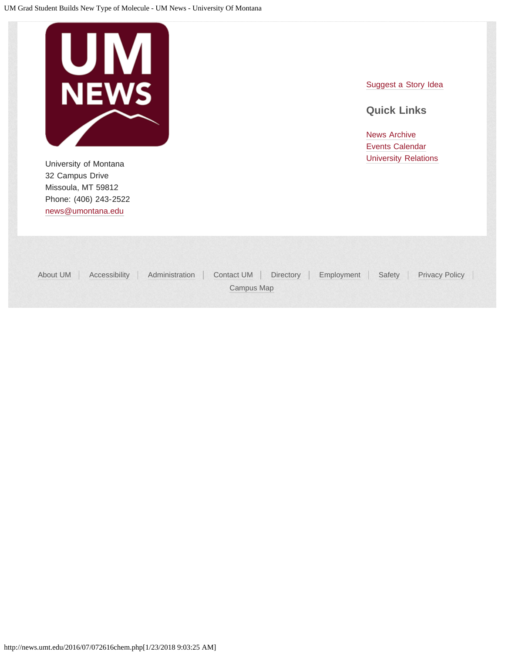

University of Montana **Value 2018** [University Relations](http://www.umt.edu/urelations/) **University Relations** 32 Campus Drive Missoula, MT 59812 Phone: (406) 243-2522 [news@umontana.edu](mailto:news@umontana.edu)

[Suggest a Story Idea](mailto:thrive@umontana.edu)

### **Quick Links**

| About UM |            | Accessibility   Administration   Contact UM   Directory   Employment   Safety   Privacy Policy |  |
|----------|------------|------------------------------------------------------------------------------------------------|--|
|          | Campus Map |                                                                                                |  |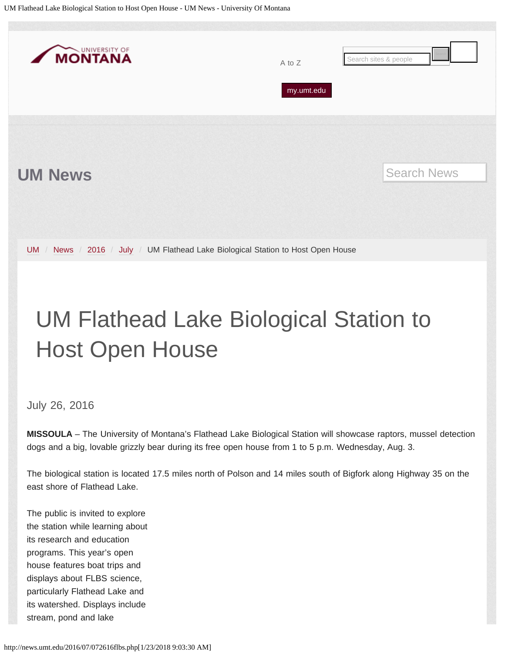<span id="page-6-0"></span>

# UM Flathead Lake Biological Station to Host Open House

July 26, 2016

**MISSOULA** – The University of Montana's Flathead Lake Biological Station will showcase raptors, mussel detection dogs and a big, lovable grizzly bear during its free open house from 1 to 5 p.m. Wednesday, Aug. 3.

The biological station is located 17.5 miles north of Polson and 14 miles south of Bigfork along Highway 35 on the east shore of Flathead Lake.

The public is invited to explore the station while learning about its research and education programs. This year's open house features boat trips and displays about FLBS science, particularly Flathead Lake and its watershed. Displays include stream, pond and lake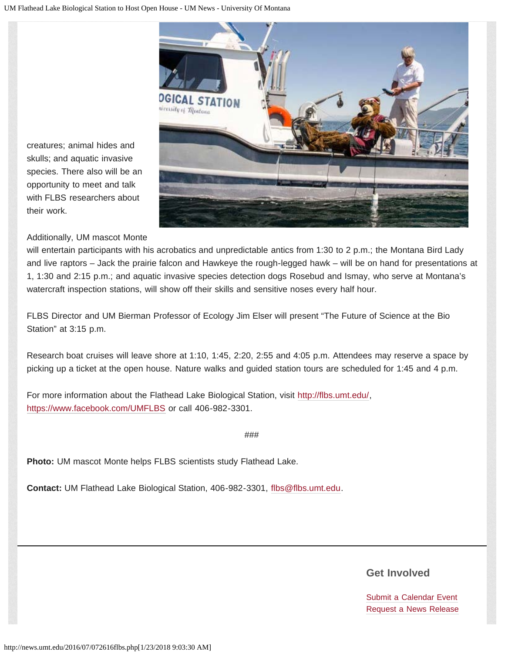

creatures; animal hides and skulls; and aquatic invasive species. There also will be an opportunity to meet and talk with FLBS researchers about their work.

### Additionally, UM mascot Monte

will entertain participants with his acrobatics and unpredictable antics from 1:30 to 2 p.m.; the Montana Bird Lady and live raptors – Jack the prairie falcon and Hawkeye the rough-legged hawk – will be on hand for presentations at 1, 1:30 and 2:15 p.m.; and aquatic invasive species detection dogs Rosebud and Ismay, who serve at Montana's watercraft inspection stations, will show off their skills and sensitive noses every half hour.

FLBS Director and UM Bierman Professor of Ecology Jim Elser will present "The Future of Science at the Bio Station" at 3:15 p.m.

Research boat cruises will leave shore at 1:10, 1:45, 2:20, 2:55 and 4:05 p.m. Attendees may reserve a space by picking up a ticket at the open house. Nature walks and guided station tours are scheduled for 1:45 and 4 p.m.

For more information about the Flathead Lake Biological Station, visit <http://flbs.umt.edu/>, <https://www.facebook.com/UMFLBS>or call 406-982-3301.

###

**Photo:** UM mascot Monte helps FLBS scientists study Flathead Lake.

**Contact:** UM Flathead Lake Biological Station, 406-982-3301, [flbs@flbs.umt.edu.](mailto:flbs@flbs.umt.edu)

### **Get Involved**

[Submit a Calendar Event](http://umt.edu/urelations/info/submit_event.php) [Request a News Release](mailto:news@umontana.edu)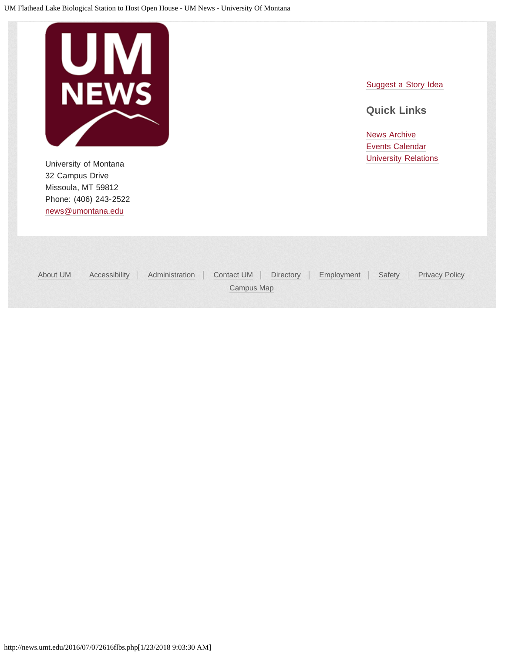

University of Montana **Value 2018** [University Relations](http://www.umt.edu/urelations/) **University Relations** 32 Campus Drive Missoula, MT 59812 Phone: (406) 243-2522 [news@umontana.edu](mailto:news@umontana.edu)

[Suggest a Story Idea](mailto:thrive@umontana.edu)

### **Quick Links**

| Accessibility<br>About UM | Administration Contact UM Directory Employment Safety Privacy Policy |  |  |
|---------------------------|----------------------------------------------------------------------|--|--|
|                           | Campus Map                                                           |  |  |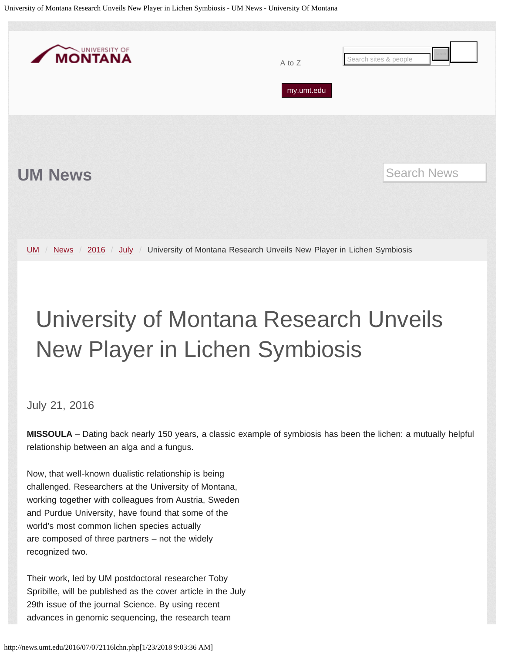<span id="page-9-0"></span>University of Montana Research Unveils New Player in Lichen Symbiosis - UM News - University Of Montana



## University of Montana Research Unveils New Player in Lichen Symbiosis

July 21, 2016

**MISSOULA** – Dating back nearly 150 years, a classic example of symbiosis has been the lichen: a mutually helpful relationship between an alga and a fungus.

Now, that well-known dualistic relationship is being challenged. Researchers at the University of Montana, working together with colleagues from Austria, Sweden and Purdue University, have found that some of the world's most common lichen species actually are composed of three partners – not the widely recognized two.

Their work, led by UM postdoctoral researcher Toby Spribille, will be published as the cover article in the July 29th issue of the journal Science. By using recent advances in genomic sequencing, the research team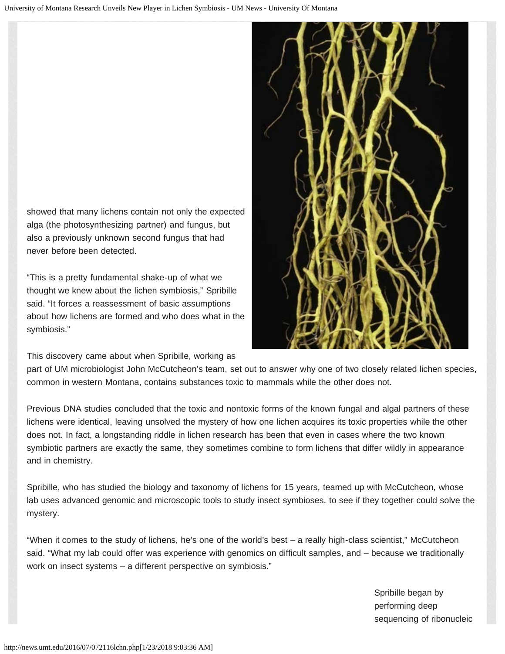showed that many lichens contain not only the expected alga (the photosynthesizing partner) and fungus, but also a previously unknown second fungus that had never before been detected.

"This is a pretty fundamental shake-up of what we thought we knew about the lichen symbiosis," Spribille said. "It forces a reassessment of basic assumptions about how lichens are formed and who does what in the symbiosis."

This discovery came about when Spribille, working as

part of UM microbiologist John McCutcheon's team, set out to answer why one of two closely related lichen species, common in western Montana, contains substances toxic to mammals while the other does not.

Previous DNA studies concluded that the toxic and nontoxic forms of the known fungal and algal partners of these lichens were identical, leaving unsolved the mystery of how one lichen acquires its toxic properties while the other does not. In fact, a longstanding riddle in lichen research has been that even in cases where the two known symbiotic partners are exactly the same, they sometimes combine to form lichens that differ wildly in appearance and in chemistry.

Spribille, who has studied the biology and taxonomy of lichens for 15 years, teamed up with McCutcheon, whose lab uses advanced genomic and microscopic tools to study insect symbioses, to see if they together could solve the mystery.

"When it comes to the study of lichens, he's one of the world's best – a really high-class scientist," McCutcheon said. "What my lab could offer was experience with genomics on difficult samples, and – because we traditionally work on insect systems – a different perspective on symbiosis."

> Spribille began by performing deep sequencing of ribonucleic

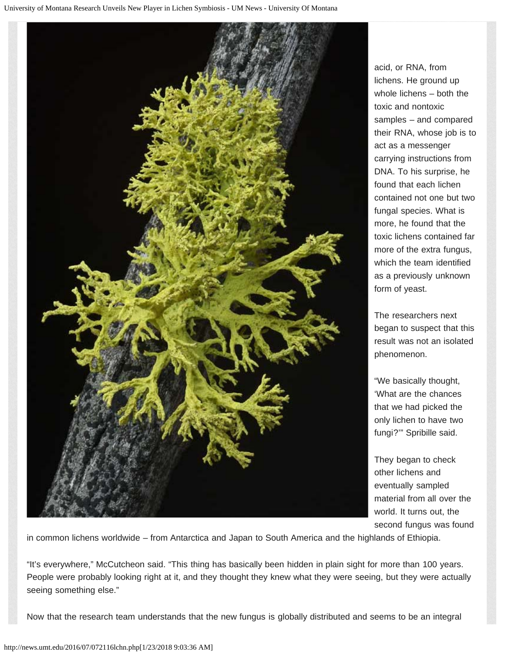

acid, or RNA, from lichens. He ground up whole lichens – both the toxic and nontoxic samples – and compared their RNA, whose job is to act as a messenger carrying instructions from DNA. To his surprise, he found that each lichen contained not one but two fungal species. What is more, he found that the toxic lichens contained far more of the extra fungus, which the team identified as a previously unknown form of yeast.

The researchers next began to suspect that this result was not an isolated phenomenon.

"We basically thought, 'What are the chances that we had picked the only lichen to have two fungi?'" Spribille said.

They began to check other lichens and eventually sampled material from all over the world. It turns out, the second fungus was found

in common lichens worldwide – from Antarctica and Japan to South America and the highlands of Ethiopia.

"It's everywhere," McCutcheon said. "This thing has basically been hidden in plain sight for more than 100 years. People were probably looking right at it, and they thought they knew what they were seeing, but they were actually seeing something else."

Now that the research team understands that the new fungus is globally distributed and seems to be an integral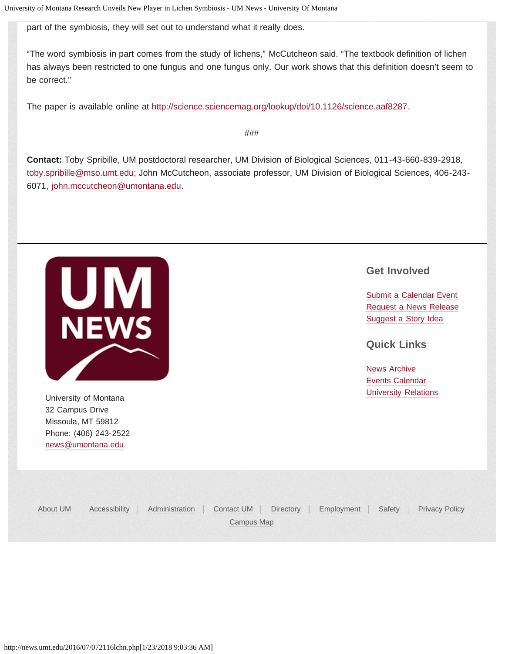part of the symbiosis, they will set out to understand what it really does.

"The word symbiosis in part comes from the study of lichens," McCutcheon said. "The textbook definition of lichen has always been restricted to one fungus and one fungus only. Our work shows that this definition doesn't seem to be correct."

The paper is available online at [http://science.sciencemag.org/lookup/doi/10.1126/science.aaf8287.](http://science.sciencemag.org/lookup/doi/10.1126/science.aaf8287)

###

**Contact:** Toby Spribille, UM postdoctoral researcher, UM Division of Biological Sciences, 011-43-660-839-2918, [toby.spribille@mso.umt.edu;](mailto:toby.spribille@mso.umt.edu) John McCutcheon, associate professor, UM Division of Biological Sciences, 406-243- 6071, [john.mccutcheon@umontana.edu.](mailto:john.mccutcheon@umontana.edu)



University of Montana **[University Relations](http://www.umt.edu/urelations/)** 32 Campus Drive Missoula, MT 59812 Phone: (406) 243-2522 [news@umontana.edu](mailto:news@umontana.edu)

### **Get Involved**

[Submit a Calendar Event](http://umt.edu/urelations/info/submit_event.php) [Request a News Release](mailto:news@umontana.edu) [Suggest a Story Idea](mailto:thrive@umontana.edu)

### **Quick Links**

| About UM   Accessibility   Administration   Contact UM   Directory   Employment   Safety   Privacy Policy<br>Campus Map |  |  |  |
|-------------------------------------------------------------------------------------------------------------------------|--|--|--|
|                                                                                                                         |  |  |  |
|                                                                                                                         |  |  |  |
|                                                                                                                         |  |  |  |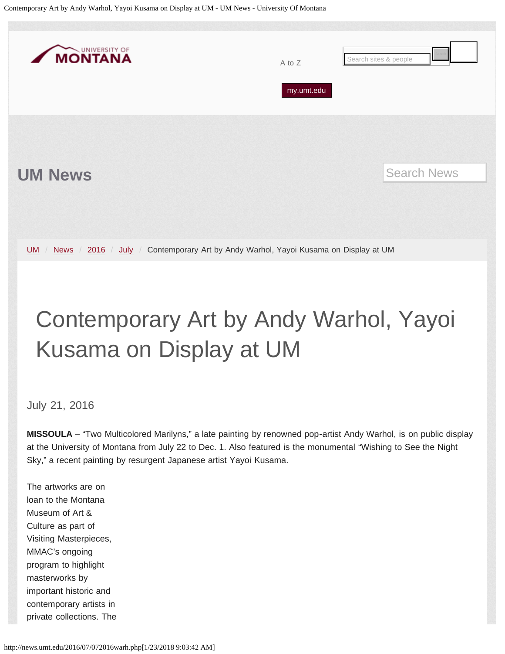<span id="page-13-0"></span>Contemporary Art by Andy Warhol, Yayoi Kusama on Display at UM - UM News - University Of Montana



# Contemporary Art by Andy Warhol, Yayoi Kusama on Display at UM

July 21, 2016

**MISSOULA** – "Two Multicolored Marilyns," a late painting by renowned pop-artist Andy Warhol, is on public display at the University of Montana from July 22 to Dec. 1. Also featured is the monumental "Wishing to See the Night Sky," a recent painting by resurgent Japanese artist Yayoi Kusama.

The artworks are on loan to the Montana Museum of Art & Culture as part of Visiting Masterpieces, MMAC's ongoing program to highlight masterworks by important historic and contemporary artists in private collections. The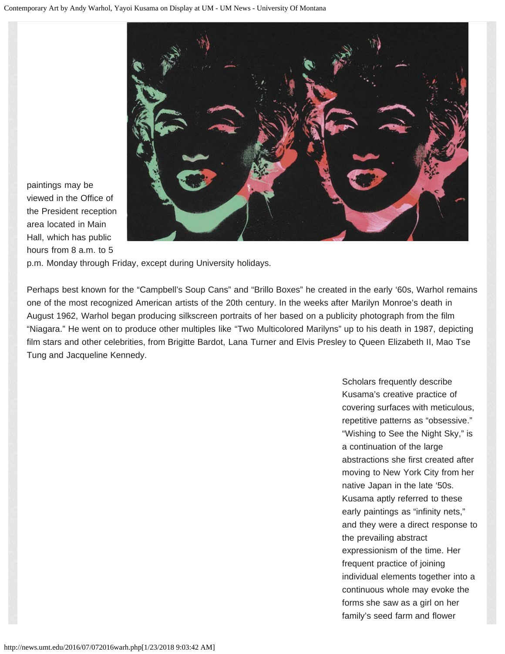

paintings may be viewed in the Office of the President reception area located in Main Hall, which has public hours from 8 a.m. to 5

p.m. Monday through Friday, except during University holidays.

Perhaps best known for the "Campbell's Soup Cans" and "Brillo Boxes" he created in the early '60s, Warhol remains one of the most recognized American artists of the 20th century. In the weeks after Marilyn Monroe's death in August 1962, Warhol began producing silkscreen portraits of her based on a publicity photograph from the film "Niagara." He went on to produce other multiples like "Two Multicolored Marilyns" up to his death in 1987, depicting film stars and other celebrities, from Brigitte Bardot, Lana Turner and Elvis Presley to Queen Elizabeth II, Mao Tse Tung and Jacqueline Kennedy.

> Scholars frequently describe Kusama's creative practice of covering surfaces with meticulous, repetitive patterns as "obsessive." "Wishing to See the Night Sky," is a continuation of the large abstractions she first created after moving to New York City from her native Japan in the late '50s. Kusama aptly referred to these early paintings as "infinity nets," and they were a direct response to the prevailing abstract expressionism of the time. Her frequent practice of joining individual elements together into a continuous whole may evoke the forms she saw as a girl on her family's seed farm and flower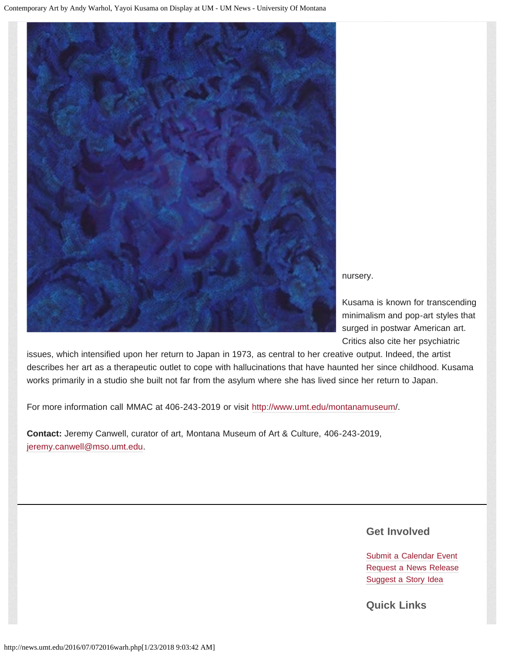

nursery.

Kusama is known for transcending minimalism and pop-art styles that surged in postwar American art. Critics also cite her psychiatric

issues, which intensified upon her return to Japan in 1973, as central to her creative output. Indeed, the artist describes her art as a therapeutic outlet to cope with hallucinations that have haunted her since childhood. Kusama works primarily in a studio she built not far from the asylum where she has lived since her return to Japan.

For more information call MMAC at 406-243-2019 or visit [http://www.umt.edu/montanamuseum/](http://www.umt.edu/montanamuseum).

**Contact:** Jeremy Canwell, curator of art, Montana Museum of Art & Culture, 406-243-2019, [jeremy.canwell@mso.umt.edu.](mailto:jeremy.canwell@mso.umt.edu)

**Get Involved**

[Submit a Calendar Event](http://umt.edu/urelations/info/submit_event.php) [Request a News Release](mailto:news@umontana.edu) [Suggest a Story Idea](mailto:thrive@umontana.edu)

**Quick Links**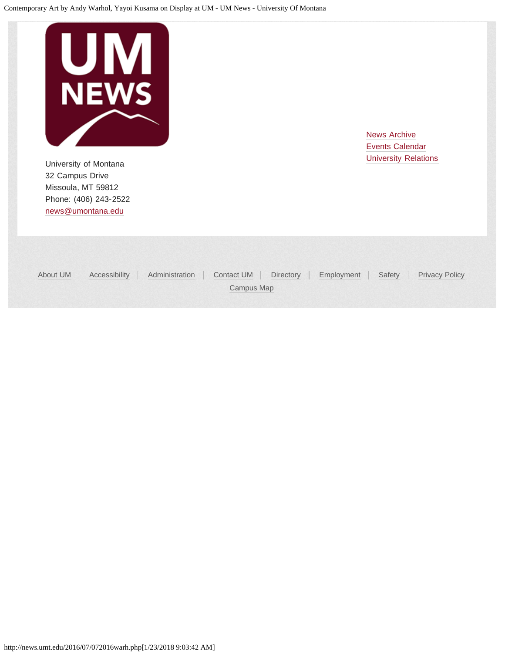

University of Montana **Value 2018** [University Relations](http://www.umt.edu/urelations/) **University Relations** 32 Campus Drive Missoula, MT 59812 Phone: (406) 243-2522 [news@umontana.edu](mailto:news@umontana.edu)

| About UM | Accessibility Administration Contact UM Directory Employment Safety Privacy Policy |            |  |  |
|----------|------------------------------------------------------------------------------------|------------|--|--|
|          |                                                                                    | Campus Map |  |  |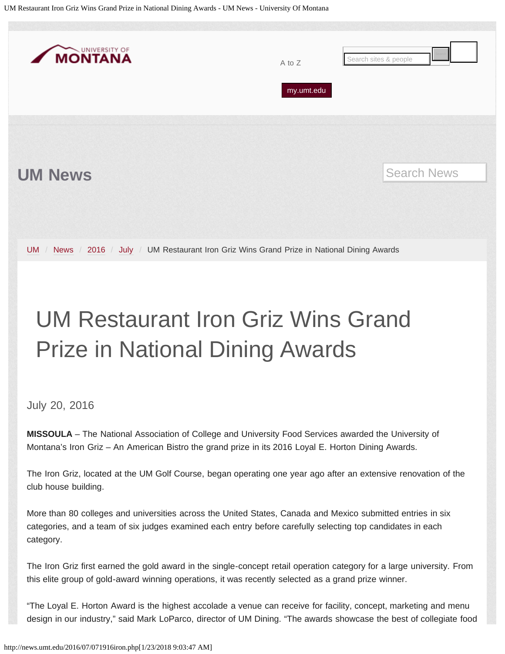<span id="page-17-0"></span>UM Restaurant Iron Griz Wins Grand Prize in National Dining Awards - UM News - University Of Montana



# UM Restaurant Iron Griz Wins Grand Prize in National Dining Awards

July 20, 2016

**MISSOULA** – The National Association of College and University Food Services awarded the University of Montana's Iron Griz – An American Bistro the grand prize in its 2016 Loyal E. Horton Dining Awards.

The Iron Griz, located at the UM Golf Course, began operating one year ago after an extensive renovation of the club house building.

More than 80 colleges and universities across the United States, Canada and Mexico submitted entries in six categories, and a team of six judges examined each entry before carefully selecting top candidates in each category.

The Iron Griz first earned the gold award in the single-concept retail operation category for a large university. From this elite group of gold-award winning operations, it was recently selected as a grand prize winner.

"The Loyal E. Horton Award is the highest accolade a venue can receive for facility, concept, marketing and menu design in our industry," said Mark LoParco, director of UM Dining. "The awards showcase the best of collegiate food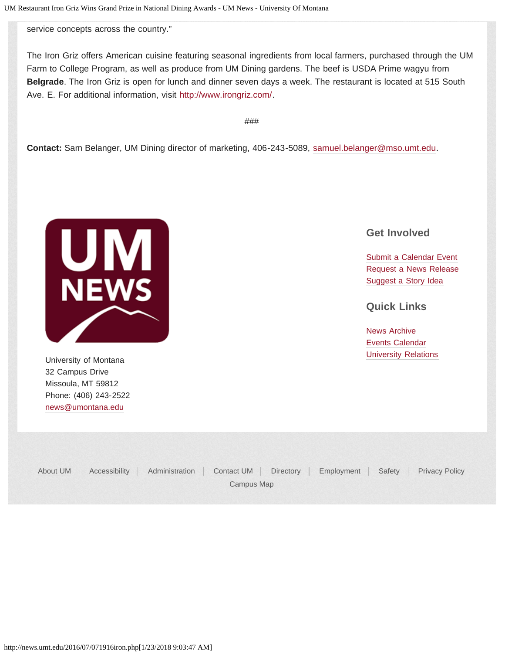service concepts across the country."

The Iron Griz offers American cuisine featuring seasonal ingredients from local farmers, purchased through the UM Farm to College Program, as well as produce from UM Dining gardens. The beef is USDA Prime wagyu from **Belgrade**. The Iron Griz is open for lunch and dinner seven days a week. The restaurant is located at 515 South Ave. E. For additional information, visit [http://www.irongriz.com/.](http://www.irongriz.com/)

###

**Contact:** Sam Belanger, UM Dining director of marketing, 406-243-5089, [samuel.belanger@mso.umt.edu.](mailto:samuel.belanger@mso.umt.edu)



32 Campus Drive Missoula, MT 59812 Phone: (406) 243-2522 [news@umontana.edu](mailto:news@umontana.edu)

### **Get Involved**

[Submit a Calendar Event](http://umt.edu/urelations/info/submit_event.php) [Request a News Release](mailto:news@umontana.edu) [Suggest a Story Idea](mailto:thrive@umontana.edu)

**Quick Links**

[News Archive](http://www.umt.edu/urelations/pubs/NewsArchives.php) [Events Calendar](http://events.umt.edu/) University of Montana **[University Relations](http://www.umt.edu/urelations/)** 

| About UM | Accessibility   Administration   Contact UM   Directory   Employment   Safety   Privacy Policy |            |  |  |
|----------|------------------------------------------------------------------------------------------------|------------|--|--|
|          |                                                                                                | Campus Map |  |  |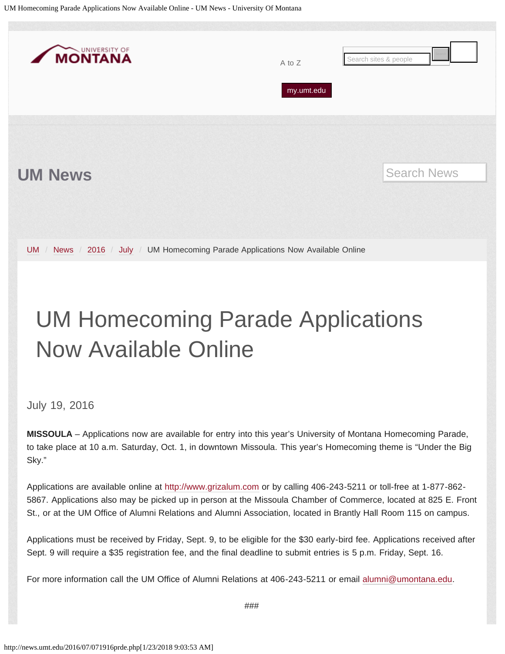<span id="page-19-0"></span>

## UM Homecoming Parade Applications Now Available Online

July 19, 2016

**MISSOULA** – Applications now are available for entry into this year's University of Montana Homecoming Parade, to take place at 10 a.m. Saturday, Oct. 1, in downtown Missoula. This year's Homecoming theme is "Under the Big Sky."

Applications are available online at [http://www.grizalum.com](http://www.grizalum.com/) or by calling 406-243-5211 or toll-free at 1-877-862- 5867. Applications also may be picked up in person at the Missoula Chamber of Commerce, located at 825 E. Front St., or at the UM Office of Alumni Relations and Alumni Association, located in Brantly Hall Room 115 on campus.

Applications must be received by Friday, Sept. 9, to be eligible for the \$30 early-bird fee. Applications received after Sept. 9 will require a \$35 registration fee, and the final deadline to submit entries is 5 p.m. Friday, Sept. 16.

For more information call the UM Office of Alumni Relations at 406-243-5211 or email [alumni@umontana.edu.](mailto:alumni@umontana.edu)

###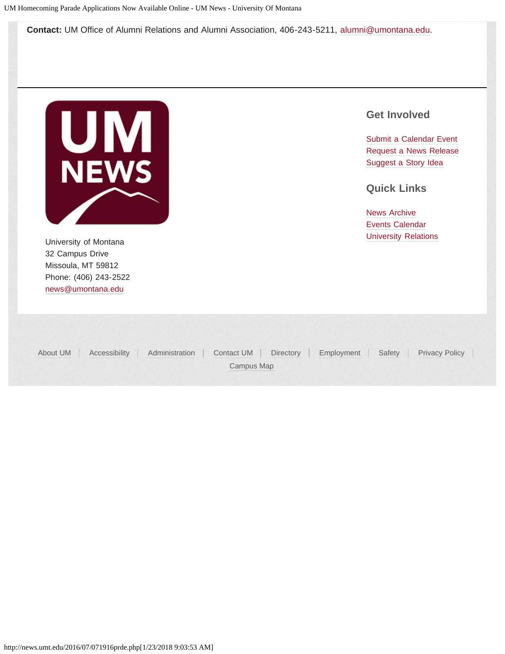**Contact:** UM Office of Alumni Relations and Alumni Association, 406-243-5211, [alumni@umontana.edu.](mailto:alumni@umontana.edu)



32 Campus Drive Missoula, MT 59812 Phone: (406) 243-2522 [news@umontana.edu](mailto:news@umontana.edu)

### **Get Involved**

[Submit a Calendar Event](http://umt.edu/urelations/info/submit_event.php) [Request a News Release](mailto:news@umontana.edu) [Suggest a Story Idea](mailto:thrive@umontana.edu)

**Quick Links**

[News Archive](http://www.umt.edu/urelations/pubs/NewsArchives.php) [Events Calendar](http://events.umt.edu/) University of Montana **[University Relations](http://www.umt.edu/urelations/)** 

|  | About UM   Accessibility   Administration   Contact UM   Directory   Employment   Safety   Privacy Policy |            |  |  |  |
|--|-----------------------------------------------------------------------------------------------------------|------------|--|--|--|
|  |                                                                                                           | Campus Map |  |  |  |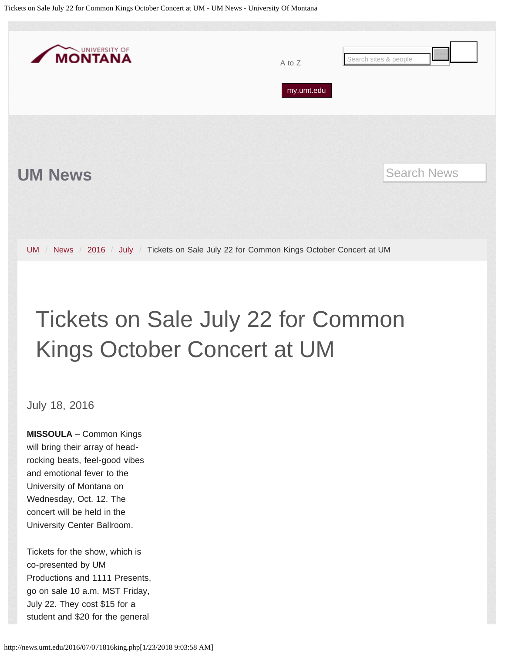<span id="page-21-0"></span>Tickets on Sale July 22 for Common Kings October Concert at UM - UM News - University Of Montana



## Tickets on Sale July 22 for Common Kings October Concert at UM

July 18, 2016

**MISSOULA** – Common Kings will bring their array of headrocking beats, feel-good vibes and emotional fever to the University of Montana on Wednesday, Oct. 12. The concert will be held in the University Center Ballroom.

Tickets for the show, which is co-presented by UM Productions and 1111 Presents, go on sale 10 a.m. MST Friday, July 22. They cost \$15 for a student and \$20 for the general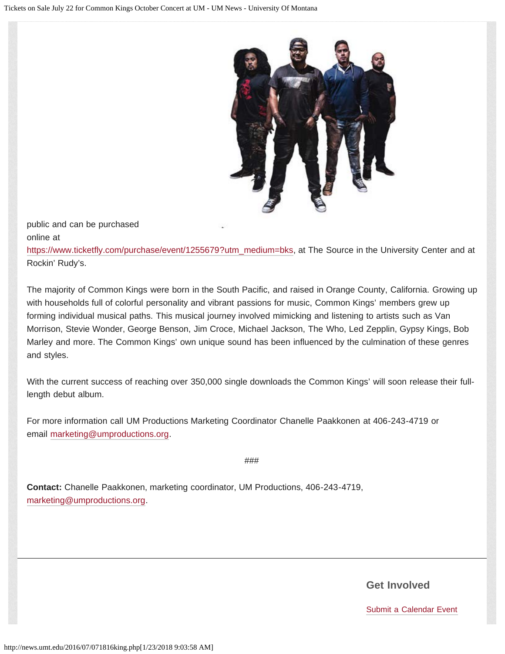

public and can be purchased online at

[https://www.ticketfly.com/purchase/event/1255679?utm\\_medium=bks,](https://www.ticketfly.com/purchase/event/1255679?utm_medium=bks) at The Source in the University Center and at Rockin' Rudy's.

The majority of Common Kings were born in the South Pacific, and raised in Orange County, California. Growing up with households full of colorful personality and vibrant passions for music, Common Kings' members grew up forming individual musical paths. This musical journey involved mimicking and listening to artists such as Van Morrison, Stevie Wonder, George Benson, Jim Croce, Michael Jackson, The Who, Led Zepplin, Gypsy Kings, Bob Marley and more. The Common Kings' own unique sound has been influenced by the culmination of these genres and styles.

With the current success of reaching over 350,000 single downloads the Common Kings' will soon release their fulllength debut album.

For more information call UM Productions Marketing Coordinator Chanelle Paakkonen at 406-243-4719 or email [marketing@umproductions.org.](mailto:marketing@umproductions.org)

###

**Contact:** Chanelle Paakkonen, marketing coordinator, UM Productions, 406-243-4719, [marketing@umproductions.org.](mailto:marketing@umproductions.org)

**Get Involved**

[Submit a Calendar Event](http://umt.edu/urelations/info/submit_event.php)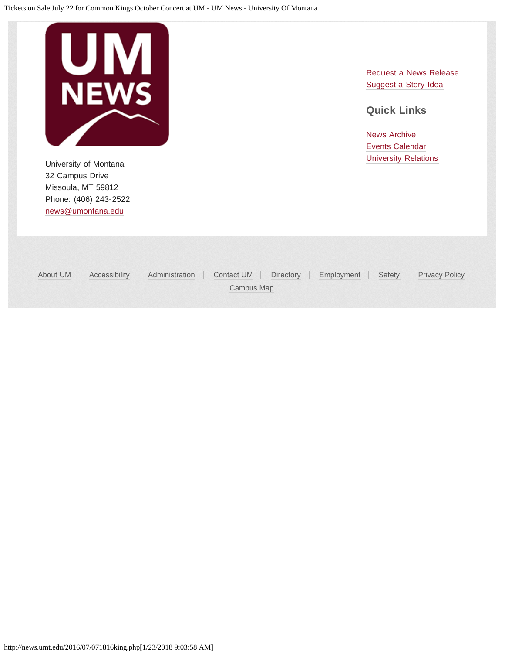

University of Montana **Value 2018** [University Relations](http://www.umt.edu/urelations/) **University Relations** 32 Campus Drive Missoula, MT 59812 Phone: (406) 243-2522 [news@umontana.edu](mailto:news@umontana.edu)

[Request a News Release](mailto:news@umontana.edu) [Suggest a Story Idea](mailto:thrive@umontana.edu)

### **Quick Links**

| About UM | Accessibility Administration Contact UM Directory Employment Safety Privacy Policy |  |  |
|----------|------------------------------------------------------------------------------------|--|--|
|          | Campus Map                                                                         |  |  |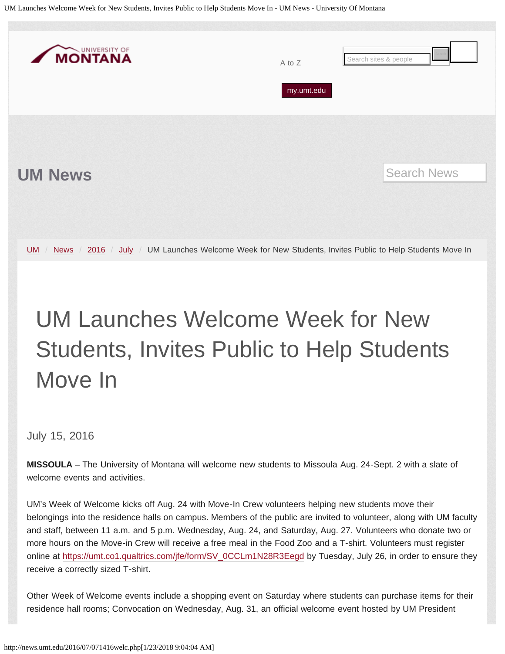<span id="page-24-0"></span>UM Launches Welcome Week for New Students, Invites Public to Help Students Move In - UM News - University Of Montana



# UM Launches Welcome Week for New Students, Invites Public to Help Students Move In

July 15, 2016

**MISSOULA** – The University of Montana will welcome new students to Missoula Aug. 24-Sept. 2 with a slate of welcome events and activities.

UM's Week of Welcome kicks off Aug. 24 with Move-In Crew volunteers helping new students move their belongings into the residence halls on campus. Members of the public are invited to volunteer, along with UM faculty and staff, between 11 a.m. and 5 p.m. Wednesday, Aug. 24, and Saturday, Aug. 27. Volunteers who donate two or more hours on the Move-in Crew will receive a free meal in the Food Zoo and a T-shirt. Volunteers must register online at [https://umt.co1.qualtrics.com/jfe/form/SV\\_0CCLm1N28R3Eegd](https://umt.co1.qualtrics.com/jfe/form/SV_0CCLm1N28R3Eegd) by Tuesday, July 26, in order to ensure they receive a correctly sized T-shirt.

Other Week of Welcome events include a shopping event on Saturday where students can purchase items for their residence hall rooms; Convocation on Wednesday, Aug. 31, an official welcome event hosted by UM President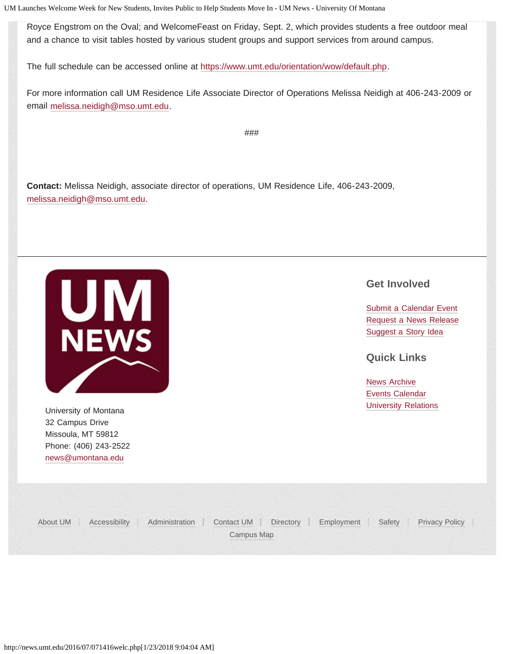UM Launches Welcome Week for New Students, Invites Public to Help Students Move In - UM News - University Of Montana

Royce Engstrom on the Oval; and WelcomeFeast on Friday, Sept. 2, which provides students a free outdoor meal and a chance to visit tables hosted by various student groups and support services from around campus.

The full schedule can be accessed online at [https://www.umt.edu/orientation/wow/default.php.](https://www.umt.edu/orientation/wow/default.php)

For more information call UM Residence Life Associate Director of Operations Melissa Neidigh at 406-243-2009 or email [melissa.neidigh@mso.umt.edu.](mailto:melissa.neidigh@mso.umt.edu)

###

**Contact:** Melissa Neidigh, associate director of operations, UM Residence Life, 406-243-2009, [melissa.neidigh@mso.umt.edu.](mailto:melissa.neidigh@mso.umt.edu)

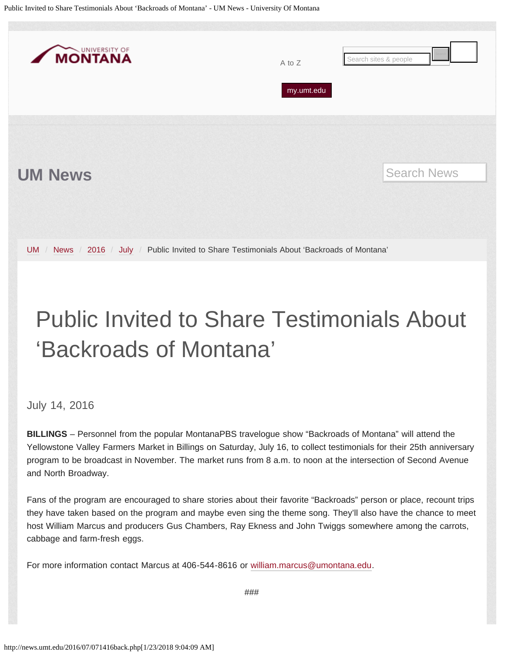<span id="page-26-0"></span>Public Invited to Share Testimonials About 'Backroads of Montana' - UM News - University Of Montana



## Public Invited to Share Testimonials About 'Backroads of Montana'

July 14, 2016

**BILLINGS** – Personnel from the popular MontanaPBS travelogue show "Backroads of Montana" will attend the Yellowstone Valley Farmers Market in Billings on Saturday, July 16, to collect testimonials for their 25th anniversary program to be broadcast in November. The market runs from 8 a.m. to noon at the intersection of Second Avenue and North Broadway.

Fans of the program are encouraged to share stories about their favorite "Backroads" person or place, recount trips they have taken based on the program and maybe even sing the theme song. They'll also have the chance to meet host William Marcus and producers Gus Chambers, Ray Ekness and John Twiggs somewhere among the carrots, cabbage and farm-fresh eggs.

For more information contact Marcus at 406-544-8616 or [william.marcus@umontana.edu](mailto:william.marcus@umontana.edu).

###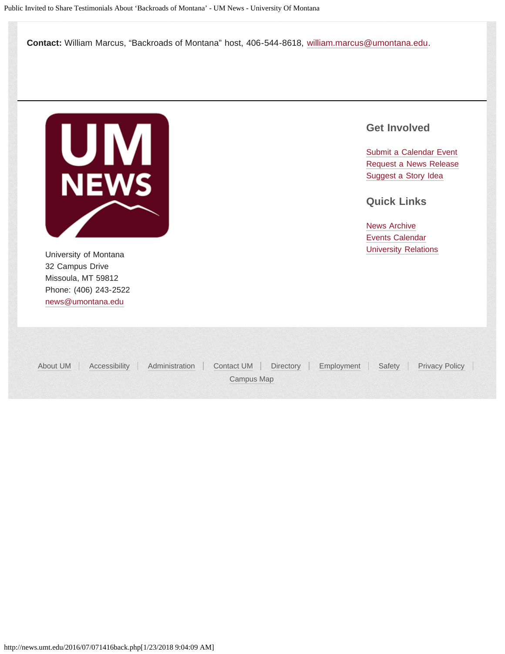**Contact:** William Marcus, "Backroads of Montana" host, 406-544-8618, [william.marcus@umontana.edu](mailto:william.marcus@umontana.edu).



University of Montana **Value 2018** [University Relations](http://www.umt.edu/urelations/) **University Relations** 32 Campus Drive Missoula, MT 59812 Phone: (406) 243-2522 [news@umontana.edu](mailto:news@umontana.edu)

### **Get Involved**

[Submit a Calendar Event](http://umt.edu/urelations/info/submit_event.php) [Request a News Release](mailto:news@umontana.edu) [Suggest a Story Idea](mailto:thrive@umontana.edu)

**Quick Links**

| About UM | Accessibility Administration Contact UM Directory Employment Safety Privacy Policy |            |  |  |
|----------|------------------------------------------------------------------------------------|------------|--|--|
|          |                                                                                    | Campus Map |  |  |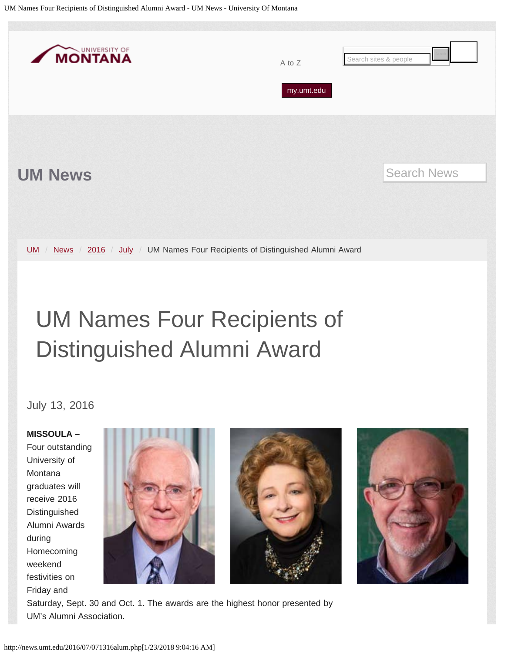<span id="page-28-0"></span>

## UM Names Four Recipients of Distinguished Alumni Award

July 13, 2016

**MISSOULA –** Four outstanding University of Montana graduates will receive 2016 Distinguished Alumni Awards during Homecoming weekend festivities on Friday and







Saturday, Sept. 30 and Oct. 1. The awards are the highest honor presented by UM's Alumni Association.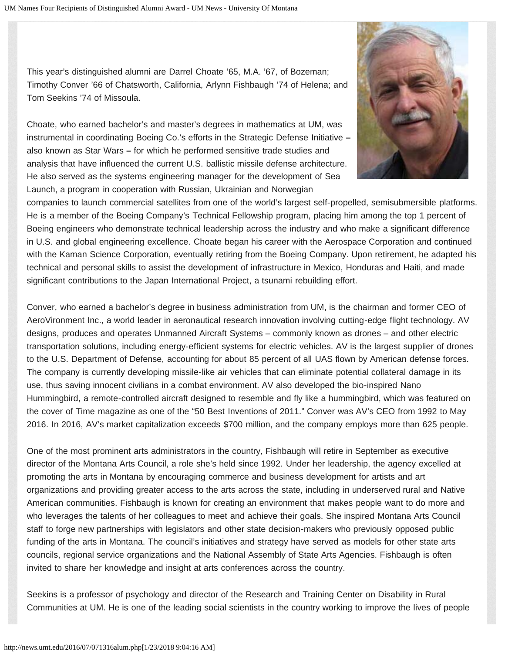This year's distinguished alumni are Darrel Choate '65, M.A. '67, of Bozeman; Timothy Conver '66 of Chatsworth, California, Arlynn Fishbaugh '74 of Helena; and Tom Seekins '74 of Missoula.

Choate, who earned bachelor's and master's degrees in mathematics at UM, was instrumental in coordinating Boeing Co.'s efforts in the Strategic Defense Initiative **–** also known as Star Wars **–** for which he performed sensitive trade studies and analysis that have influenced the current U.S. ballistic missile defense architecture. He also served as the systems engineering manager for the development of Sea Launch, a program in cooperation with Russian, Ukrainian and Norwegian



companies to launch commercial satellites from one of the world's largest self-propelled, semisubmersible platforms. He is a member of the Boeing Company's Technical Fellowship program, placing him among the top 1 percent of Boeing engineers who demonstrate technical leadership across the industry and who make a significant difference in U.S. and global engineering excellence. Choate began his career with the Aerospace Corporation and continued with the Kaman Science Corporation, eventually retiring from the Boeing Company. Upon retirement, he adapted his technical and personal skills to assist the development of infrastructure in Mexico, Honduras and Haiti, and made significant contributions to the Japan International Project, a tsunami rebuilding effort.

Conver, who earned a bachelor's degree in business administration from UM, is the chairman and former CEO of AeroVironment Inc., a world leader in aeronautical research innovation involving cutting-edge flight technology. AV designs, produces and operates Unmanned Aircraft Systems – commonly known as drones – and other electric transportation solutions, including energy-efficient systems for electric vehicles. AV is the largest supplier of drones to the U.S. Department of Defense, accounting for about 85 percent of all UAS flown by American defense forces. The company is currently developing missile-like air vehicles that can eliminate potential collateral damage in its use, thus saving innocent civilians in a combat environment. AV also developed the bio-inspired Nano Hummingbird, a remote-controlled aircraft designed to resemble and fly like a hummingbird, which was featured on the cover of Time magazine as one of the "50 Best Inventions of 2011." Conver was AV's CEO from 1992 to May 2016. In 2016, AV's market capitalization exceeds \$700 million, and the company employs more than 625 people.

One of the most prominent arts administrators in the country, Fishbaugh will retire in September as executive director of the Montana Arts Council, a role she's held since 1992. Under her leadership, the agency excelled at promoting the arts in Montana by encouraging commerce and business development for artists and art organizations and providing greater access to the arts across the state, including in underserved rural and Native American communities. Fishbaugh is known for creating an environment that makes people want to do more and who leverages the talents of her colleagues to meet and achieve their goals. She inspired Montana Arts Council staff to forge new partnerships with legislators and other state decision-makers who previously opposed public funding of the arts in Montana. The council's initiatives and strategy have served as models for other state arts councils, regional service organizations and the National Assembly of State Arts Agencies. Fishbaugh is often invited to share her knowledge and insight at arts conferences across the country.

Seekins is a professor of psychology and director of the Research and Training Center on Disability in Rural Communities at UM. He is one of the leading social scientists in the country working to improve the lives of people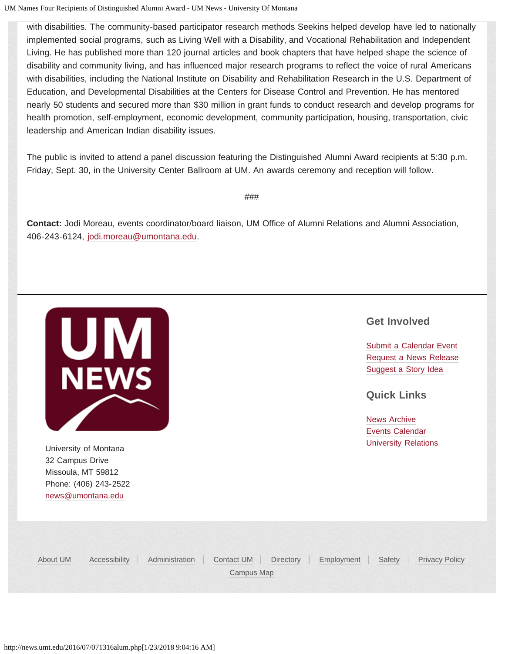UM Names Four Recipients of Distinguished Alumni Award - UM News - University Of Montana

with disabilities. The community-based participator research methods Seekins helped develop have led to nationally implemented social programs, such as Living Well with a Disability, and Vocational Rehabilitation and Independent Living. He has published more than 120 journal articles and book chapters that have helped shape the science of disability and community living, and has influenced major research programs to reflect the voice of rural Americans with disabilities, including the National Institute on Disability and Rehabilitation Research in the U.S. Department of Education, and Developmental Disabilities at the Centers for Disease Control and Prevention. He has mentored nearly 50 students and secured more than \$30 million in grant funds to conduct research and develop programs for health promotion, self-employment, economic development, community participation, housing, transportation, civic leadership and American Indian disability issues.

The public is invited to attend a panel discussion featuring the Distinguished Alumni Award recipients at 5:30 p.m. Friday, Sept. 30, in the University Center Ballroom at UM. An awards ceremony and reception will follow.

###

**Contact:** Jodi Moreau, events coordinator/board liaison, UM Office of Alumni Relations and Alumni Association, 406-243-6124, [jodi.moreau@umontana.edu.](mailto:jodi.moreau@umontana.edu)



University of Montana **[University Relations](http://www.umt.edu/urelations/)** 32 Campus Drive Missoula, MT 59812 Phone: (406) 243-2522 [news@umontana.edu](mailto:news@umontana.edu)

### **Get Involved**

[Submit a Calendar Event](http://umt.edu/urelations/info/submit_event.php) [Request a News Release](mailto:news@umontana.edu) [Suggest a Story Idea](mailto:thrive@umontana.edu)

**Quick Links**

[News Archive](http://www.umt.edu/urelations/pubs/NewsArchives.php) [Events Calendar](http://events.umt.edu/)

[About UM](http://www.umt.edu/about) [Accessibility](http://www.umt.edu/accessibility/) [Administration](http://www.umt.edu/administration) [Contact UM](http://www.umt.edu/comments) [Directory](http://www.umt.edu/directory) [Employment](http://www.umt.edu/jobs) [Safety](http://www.umt.edu/safety/) [Privacy Policy](http://umt.edu/privacy/) [Campus Map](http://map.umt.edu/)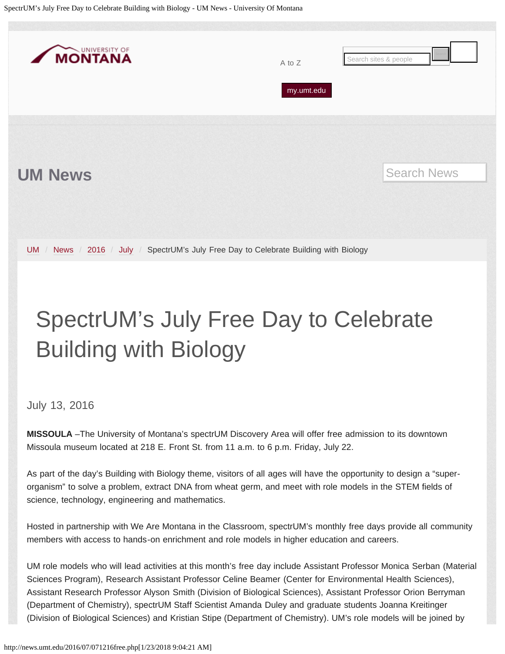<span id="page-31-0"></span>

# SpectrUM's July Free Day to Celebrate Building with Biology

### July 13, 2016

**MISSOULA** –The University of Montana's spectrUM Discovery Area will offer free admission to its downtown Missoula museum located at 218 E. Front St. from 11 a.m. to 6 p.m. Friday, July 22.

As part of the day's Building with Biology theme, visitors of all ages will have the opportunity to design a "superorganism" to solve a problem, extract DNA from wheat germ, and meet with role models in the STEM fields of science, technology, engineering and mathematics.

Hosted in partnership with We Are Montana in the Classroom, spectrUM's monthly free days provide all community members with access to hands-on enrichment and role models in higher education and careers.

UM role models who will lead activities at this month's free day include Assistant Professor Monica Serban (Material Sciences Program), Research Assistant Professor Celine Beamer (Center for Environmental Health Sciences), Assistant Research Professor Alyson Smith (Division of Biological Sciences), Assistant Professor Orion Berryman (Department of Chemistry), spectrUM Staff Scientist Amanda Duley and graduate students Joanna Kreitinger (Division of Biological Sciences) and Kristian Stipe (Department of Chemistry). UM's role models will be joined by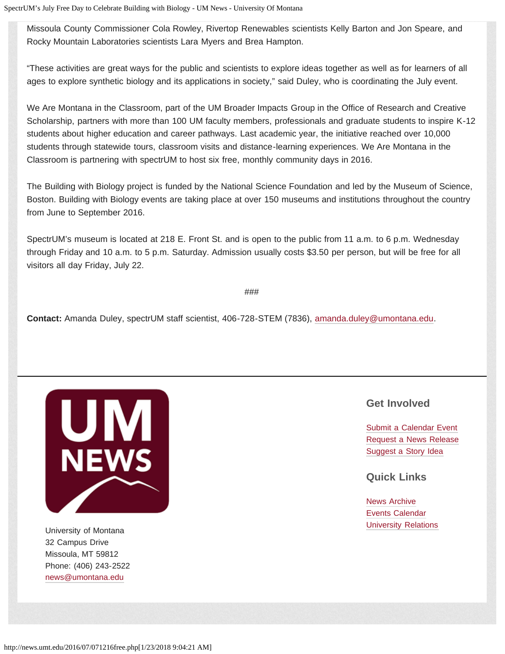Missoula County Commissioner Cola Rowley, Rivertop Renewables scientists Kelly Barton and Jon Speare, and Rocky Mountain Laboratories scientists Lara Myers and Brea Hampton.

"These activities are great ways for the public and scientists to explore ideas together as well as for learners of all ages to explore synthetic biology and its applications in society," said Duley, who is coordinating the July event.

We Are Montana in the Classroom, part of the UM Broader Impacts Group in the Office of Research and Creative Scholarship, partners with more than 100 UM faculty members, professionals and graduate students to inspire K-12 students about higher education and career pathways. Last academic year, the initiative reached over 10,000 students through statewide tours, classroom visits and distance-learning experiences. We Are Montana in the Classroom is partnering with spectrUM to host six free, monthly community days in 2016.

The Building with Biology project is funded by the National Science Foundation and led by the Museum of Science, Boston. Building with Biology events are taking place at over 150 museums and institutions throughout the country from June to September 2016.

SpectrUM's museum is located at 218 E. Front St. and is open to the public from 11 a.m. to 6 p.m. Wednesday through Friday and 10 a.m. to 5 p.m. Saturday. Admission usually costs \$3.50 per person, but will be free for all visitors all day Friday, July 22.

###

**Contact:** Amanda Duley, spectrUM staff scientist, 406-728-STEM (7836), [amanda.duley@umontana.edu.](mailto:amanda.duley@umontana.edu)



University of Montana **[University Relations](http://www.umt.edu/urelations/)** 32 Campus Drive Missoula, MT 59812 Phone: (406) 243-2522 [news@umontana.edu](mailto:news@umontana.edu)

### **Get Involved**

[Submit a Calendar Event](http://umt.edu/urelations/info/submit_event.php) [Request a News Release](mailto:news@umontana.edu) [Suggest a Story Idea](mailto:thrive@umontana.edu)

**Quick Links**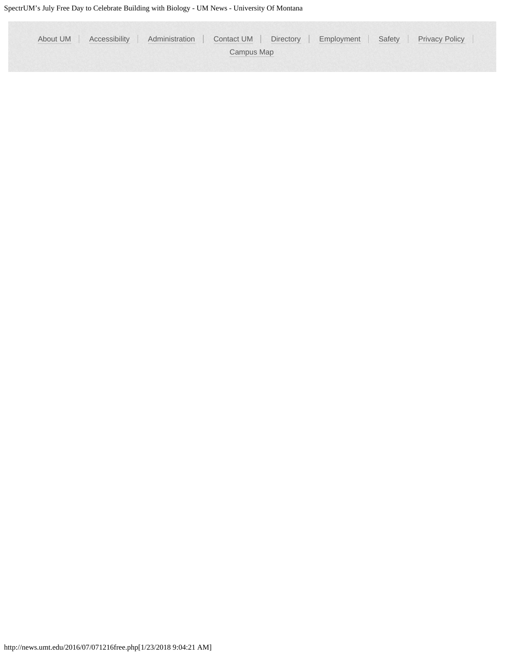| About UM   Accessibility   Administration   Contact UM   Directory   Employment   Safety   Privacy Policy |  |  |  |  |  |  |  |  |
|-----------------------------------------------------------------------------------------------------------|--|--|--|--|--|--|--|--|
| Campus Map                                                                                                |  |  |  |  |  |  |  |  |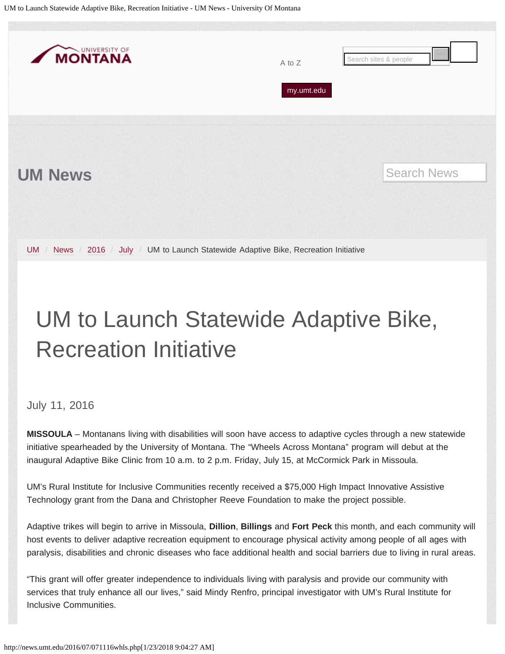<span id="page-34-0"></span>

## UM to Launch Statewide Adaptive Bike, Recreation Initiative

### July 11, 2016

**MISSOULA** – Montanans living with disabilities will soon have access to adaptive cycles through a new statewide initiative spearheaded by the University of Montana. The "Wheels Across Montana" program will debut at the inaugural Adaptive Bike Clinic from 10 a.m. to 2 p.m. Friday, July 15, at McCormick Park in Missoula.

UM's Rural Institute for Inclusive Communities recently received a \$75,000 High Impact Innovative Assistive Technology grant from the Dana and Christopher Reeve Foundation to make the project possible.

Adaptive trikes will begin to arrive in Missoula, **Dillion**, **Billings** and **Fort Peck** this month, and each community will host events to deliver adaptive recreation equipment to encourage physical activity among people of all ages with paralysis, disabilities and chronic diseases who face additional health and social barriers due to living in rural areas.

"This grant will offer greater independence to individuals living with paralysis and provide our community with services that truly enhance all our lives," said Mindy Renfro, principal investigator with UM's Rural Institute for Inclusive Communities.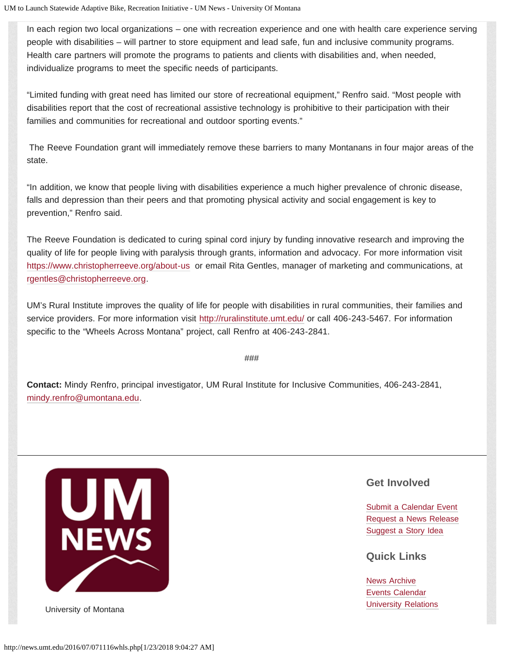In each region two local organizations – one with recreation experience and one with health care experience serving people with disabilities – will partner to store equipment and lead safe, fun and inclusive community programs. Health care partners will promote the programs to patients and clients with disabilities and, when needed, individualize programs to meet the specific needs of participants.

"Limited funding with great need has limited our store of recreational equipment," Renfro said. "Most people with disabilities report that the cost of recreational assistive technology is prohibitive to their participation with their families and communities for recreational and outdoor sporting events."

The Reeve Foundation grant will immediately remove these barriers to many Montanans in four major areas of the state.

"In addition, we know that people living with disabilities experience a much higher prevalence of chronic disease, falls and depression than their peers and that promoting physical activity and social engagement is key to prevention," Renfro said.

The Reeve Foundation is dedicated to curing spinal cord injury by funding innovative research and improving the quality of life for people living with paralysis through grants, information and advocacy. For more information visit <https://www.christopherreeve.org/about-us> or email Rita Gentles, manager of marketing and communications, at [rgentles@christopherreeve.org.](mailto:rgentles@christopherreeve.org)

UM's Rural Institute improves the quality of life for people with disabilities in rural communities, their families and service providers. For more information visit <http://ruralinstitute.umt.edu/>or call 406-243-5467. For information specific to the "Wheels Across Montana" project, call Renfro at 406-243-2841.

###

**Contact:** Mindy Renfro, principal investigator, UM Rural Institute for Inclusive Communities, 406-243-2841, [mindy.renfro@umontana.edu.](mailto:mindy.renfro@umontana.edu)



### **Get Involved**

[Submit a Calendar Event](http://umt.edu/urelations/info/submit_event.php) [Request a News Release](mailto:news@umontana.edu) [Suggest a Story Idea](mailto:thrive@umontana.edu)

### **Quick Links**

[News Archive](http://www.umt.edu/urelations/pubs/NewsArchives.php) [Events Calendar](http://events.umt.edu/) University of Montana **[University Relations](http://www.umt.edu/urelations/)**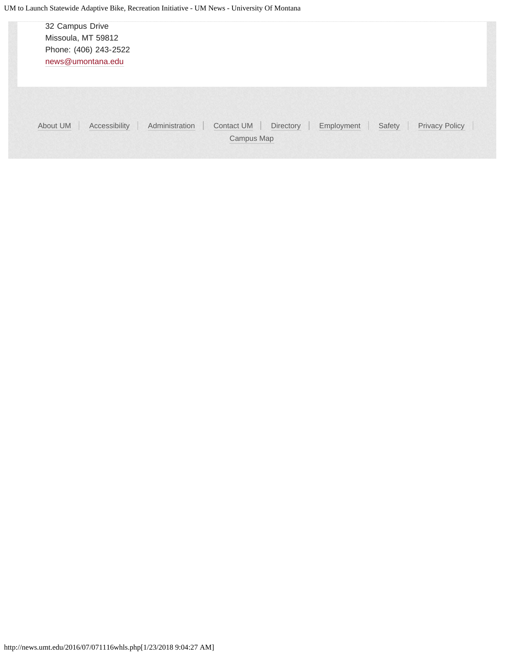| 32 Campus Drive<br>Missoula, MT 59812<br>Phone: (406) 243-2522<br>news@umontana.edu |                                                                                                          |
|-------------------------------------------------------------------------------------|----------------------------------------------------------------------------------------------------------|
| About UM<br>Accessibility                                                           | Administration<br><b>Privacy Policy</b><br>Contact UM<br>Directory<br>Safety<br>Employment<br>Campus Map |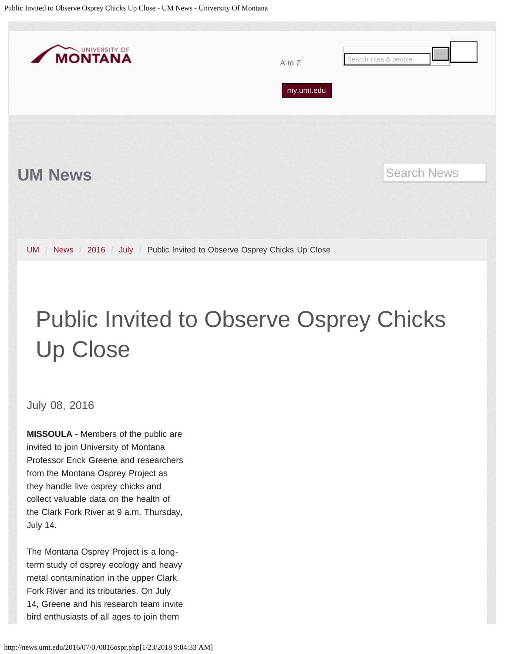<span id="page-37-0"></span>

# Public Invited to Observe Osprey Chicks Up Close

July 08, 2016

**MISSOULA** - Members of the public are invited to join University of Montana Professor Erick Greene and researchers from the Montana Osprey Project as they handle live osprey chicks and collect valuable data on the health of the Clark Fork River at 9 a.m. Thursday, July 14.

The Montana Osprey Project is a longterm study of osprey ecology and heavy metal contamination in the upper Clark Fork River and its tributaries. On July 14, Greene and his research team invite bird enthusiasts of all ages to join them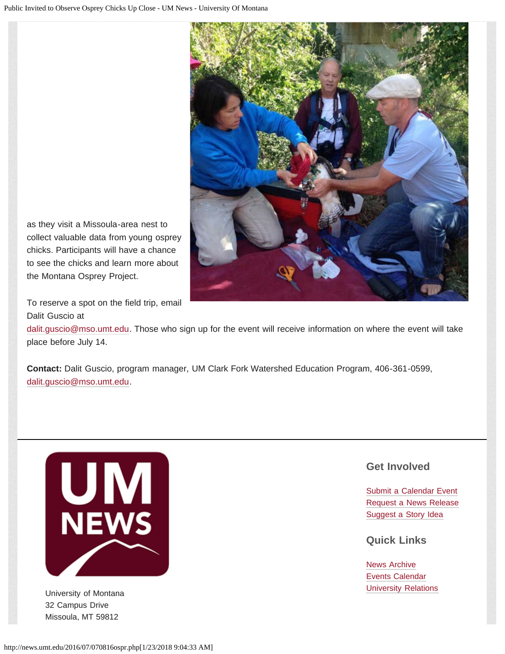

as they visit a Missoula-area nest to collect valuable data from young osprey chicks. Participants will have a chance to see the chicks and learn more about the Montana Osprey Project.

To reserve a spot on the field trip, email Dalit Guscio at

[dalit.guscio@mso.umt.edu.](mailto:dalit.guscio@mso.umt.edu) Those who sign up for the event will receive information on where the event will take place before July 14.

**Contact:** Dalit Guscio, program manager, UM Clark Fork Watershed Education Program, 406-361-0599, [dalit.guscio@mso.umt.edu.](mailto:dalit.guscio@mso.umt.edu)



32 Campus Drive Missoula, MT 59812

### **Get Involved**

[Submit a Calendar Event](http://umt.edu/urelations/info/submit_event.php) [Request a News Release](mailto:news@umontana.edu) [Suggest a Story Idea](mailto:thrive@umontana.edu)

**Quick Links**

[News Archive](http://www.umt.edu/urelations/pubs/NewsArchives.php) [Events Calendar](http://events.umt.edu/) University of Montana **Value 2018** [University Relations](http://www.umt.edu/urelations/) **University Relations**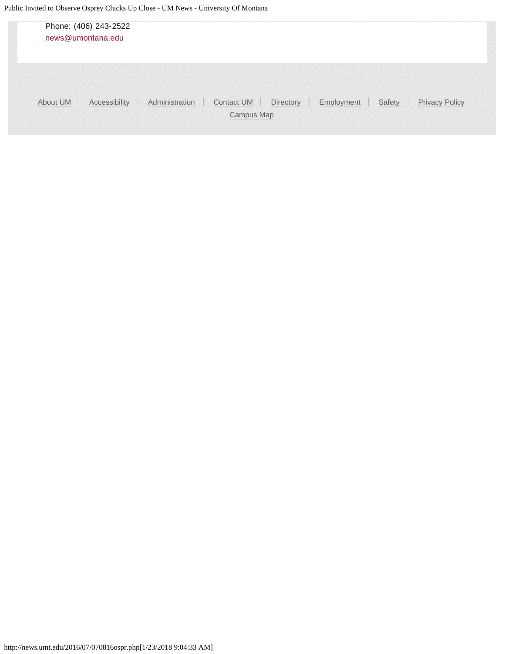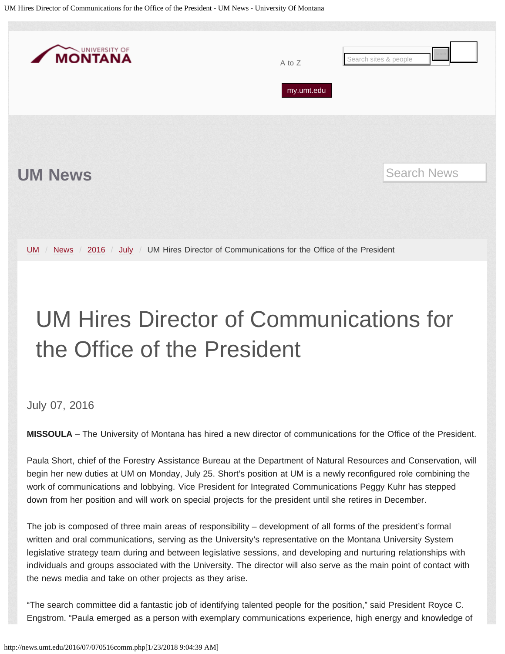<span id="page-40-0"></span>UM Hires Director of Communications for the Office of the President - UM News - University Of Montana



# UM Hires Director of Communications for the Office of the President

### July 07, 2016

**MISSOULA** – The University of Montana has hired a new director of communications for the Office of the President.

Paula Short, chief of the Forestry Assistance Bureau at the Department of Natural Resources and Conservation, will begin her new duties at UM on Monday, July 25. Short's position at UM is a newly reconfigured role combining the work of communications and lobbying. Vice President for Integrated Communications Peggy Kuhr has stepped down from her position and will work on special projects for the president until she retires in December.

The job is composed of three main areas of responsibility – development of all forms of the president's formal written and oral communications, serving as the University's representative on the Montana University System legislative strategy team during and between legislative sessions, and developing and nurturing relationships with individuals and groups associated with the University. The director will also serve as the main point of contact with the news media and take on other projects as they arise.

"The search committee did a fantastic job of identifying talented people for the position," said President Royce C. Engstrom. "Paula emerged as a person with exemplary communications experience, high energy and knowledge of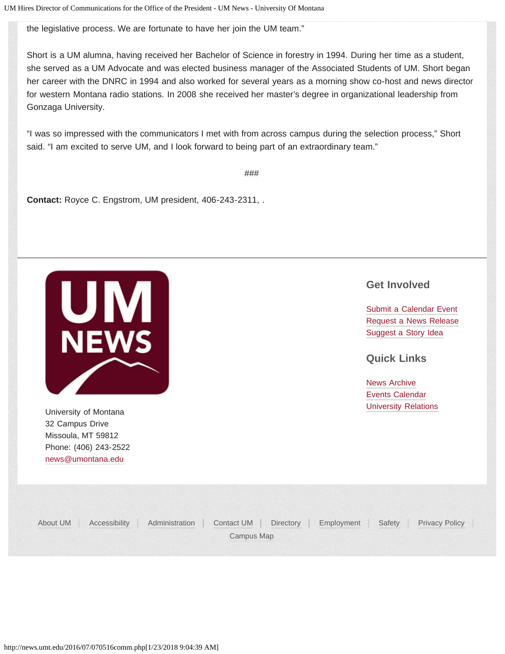the legislative process. We are fortunate to have her join the UM team."

Short is a UM alumna, having received her Bachelor of Science in forestry in 1994. During her time as a student, she served as a UM Advocate and was elected business manager of the Associated Students of UM. Short began her career with the DNRC in 1994 and also worked for several years as a morning show co-host and news director for western Montana radio stations. In 2008 she received her master's degree in organizational leadership from Gonzaga University.

"I was so impressed with the communicators I met with from across campus during the selection process," Short said. "I am excited to serve UM, and I look forward to being part of an extraordinary team."

###

**Contact:** Royce C. Engstrom, UM president, 406-243-2311, .



University of Montana **[University Relations](http://www.umt.edu/urelations/)** 32 Campus Drive Missoula, MT 59812 Phone: (406) 243-2522 [news@umontana.edu](mailto:news@umontana.edu)

### **Get Involved**

[Submit a Calendar Event](http://umt.edu/urelations/info/submit_event.php) [Request a News Release](mailto:news@umontana.edu) [Suggest a Story Idea](mailto:thrive@umontana.edu)

### **Quick Links**

| About UM | Accessibility Administration Contact UM Directory Employment Safety Privacy Policy |            |  |  |
|----------|------------------------------------------------------------------------------------|------------|--|--|
|          |                                                                                    | Campus Map |  |  |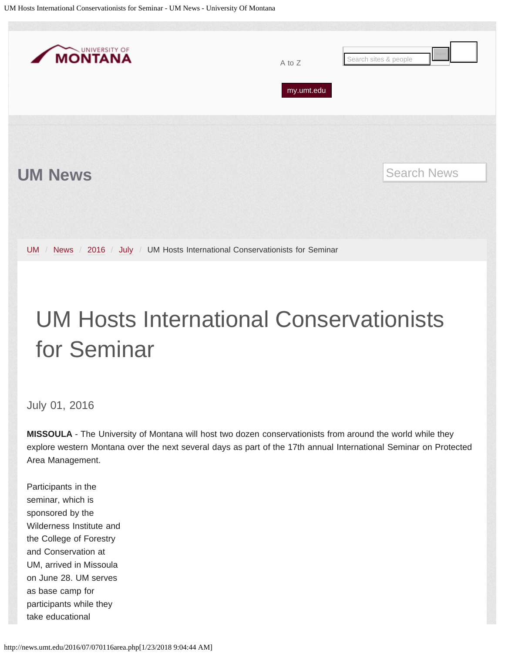<span id="page-42-0"></span>

## UM Hosts International Conservationists for Seminar

July 01, 2016

**MISSOULA** - The University of Montana will host two dozen conservationists from around the world while they explore western Montana over the next several days as part of the 17th annual International Seminar on Protected Area Management.

Participants in the seminar, which is sponsored by the Wilderness Institute and the College of Forestry and Conservation at UM, arrived in Missoula on June 28. UM serves as base camp for participants while they take educational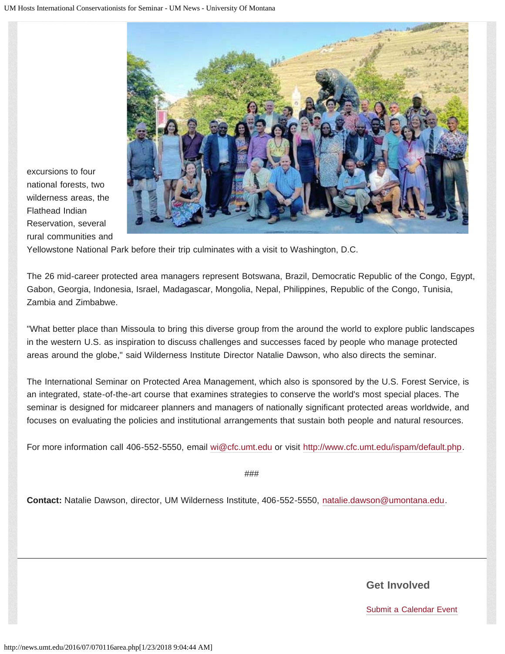

excursions to four national forests, two wilderness areas, the Flathead Indian Reservation, several rural communities and

Yellowstone National Park before their trip culminates with a visit to Washington, D.C.

The 26 mid-career protected area managers represent Botswana, Brazil, Democratic Republic of the Congo, Egypt, Gabon, Georgia, Indonesia, Israel, Madagascar, Mongolia, Nepal, Philippines, Republic of the Congo, Tunisia, Zambia and Zimbabwe.

"What better place than Missoula to bring this diverse group from the around the world to explore public landscapes in the western U.S. as inspiration to discuss challenges and successes faced by people who manage protected areas around the globe," said Wilderness Institute Director Natalie Dawson, who also directs the seminar.

The International Seminar on Protected Area Management, which also is sponsored by the U.S. Forest Service, is an integrated, state-of-the-art course that examines strategies to conserve the world's most special places. The seminar is designed for midcareer planners and managers of nationally significant protected areas worldwide, and focuses on evaluating the policies and institutional arrangements that sustain both people and natural resources.

For more information call 406-552-5550, email [wi@cfc.umt.edu](mailto:wi@cfc.umt.edu) or visit [http://www.cfc.umt.edu/ispam/default.php.](http://www.cfc.umt.edu/ispam/default.php)

###

**Contact:** Natalie Dawson, director, UM Wilderness Institute, 406-552-5550, [natalie.dawson@umontana.edu.](mailto:natalie.dawson@umontana.edu)

**Get Involved**

[Submit a Calendar Event](http://umt.edu/urelations/info/submit_event.php)